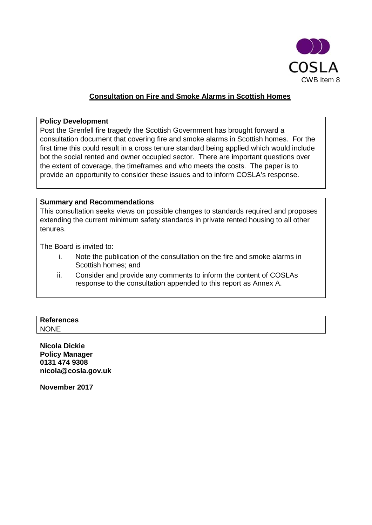

### **Consultation on Fire and Smoke Alarms in Scottish Homes**

#### **Policy Development**

Post the Grenfell fire tragedy the Scottish Government has brought forward a consultation document that covering fire and smoke alarms in Scottish homes. For the first time this could result in a cross tenure standard being applied which would include bot the social rented and owner occupied sector. There are important questions over the extent of coverage, the timeframes and who meets the costs. The paper is to provide an opportunity to consider these issues and to inform COSLA's response.

#### **Summary and Recommendations**

This consultation seeks views on possible changes to standards required and proposes extending the current minimum safety standards in private rented housing to all other tenures.

The Board is invited to:

- i. Note the publication of the consultation on the fire and smoke alarms in Scottish homes; and
- ii. Consider and provide any comments to inform the content of COSLAs response to the consultation appended to this report as Annex A.

## **References** NONE

**Nicola Dickie Policy Manager 0131 474 9308 nicola@cosla.gov.uk**

**November 2017**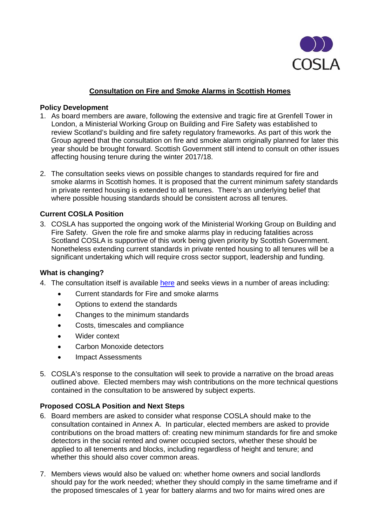

### **Consultation on Fire and Smoke Alarms in Scottish Homes**

#### **Policy Development**

- 1. As board members are aware, following the extensive and tragic fire at Grenfell Tower in London, a Ministerial Working Group on Building and Fire Safety was established to review Scotland's building and fire safety regulatory frameworks. As part of this work the Group agreed that the consultation on fire and smoke alarm originally planned for later this year should be brought forward. Scottish Government still intend to consult on other issues affecting housing tenure during the winter 2017/18.
- 2. The consultation seeks views on possible changes to standards required for fire and smoke alarms in Scottish homes. It is proposed that the current minimum safety standards in private rented housing is extended to all tenures. There's an underlying belief that where possible housing standards should be consistent across all tenures.

### **Current COSLA Position**

3. COSLA has supported the ongoing work of the Ministerial Working Group on Building and Fire Safety. Given the role fire and smoke alarms play in reducing fatalities across Scotland COSLA is supportive of this work being given priority by Scottish Government. Nonetheless extending current standards in private rented housing to all tenures will be a significant undertaking which will require cross sector support, leadership and funding.

#### **What is changing?**

- 4. The consultation itself is available [here](https://consult.scotland.gov.uk/housing-regeneration-and-welfare/fire-and-smoke-alarms-in-scottish-homes/) and seeks views in a number of areas including:
	- Current standards for Fire and smoke alarms
	- Options to extend the standards
	- Changes to the minimum standards
	- Costs, timescales and compliance
	- Wider context
	- Carbon Monoxide detectors
	- Impact Assessments
- 5. COSLA's response to the consultation will seek to provide a narrative on the broad areas outlined above. Elected members may wish contributions on the more technical questions contained in the consultation to be answered by subject experts.

### **Proposed COSLA Position and Next Steps**

- 6. Board members are asked to consider what response COSLA should make to the consultation contained in Annex A. In particular, elected members are asked to provide contributions on the broad matters of: creating new minimum standards for fire and smoke detectors in the social rented and owner occupied sectors, whether these should be applied to all tenements and blocks, including regardless of height and tenure; and whether this should also cover common areas.
- 7. Members views would also be valued on: whether home owners and social landlords should pay for the work needed; whether they should comply in the same timeframe and if the proposed timescales of 1 year for battery alarms and two for mains wired ones are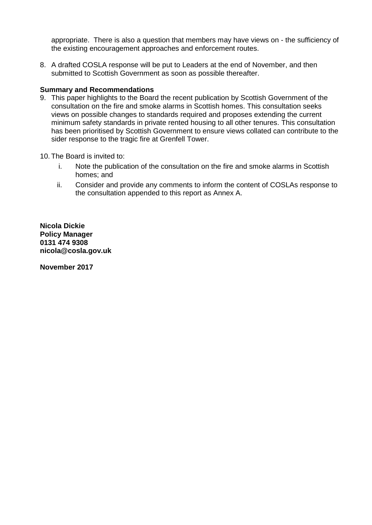appropriate. There is also a question that members may have views on - the sufficiency of the existing encouragement approaches and enforcement routes.

8. A drafted COSLA response will be put to Leaders at the end of November, and then submitted to Scottish Government as soon as possible thereafter.

#### **Summary and Recommendations**

- 9. This paper highlights to the Board the recent publication by Scottish Government of the consultation on the fire and smoke alarms in Scottish homes. This consultation seeks views on possible changes to standards required and proposes extending the current minimum safety standards in private rented housing to all other tenures. This consultation has been prioritised by Scottish Government to ensure views collated can contribute to the sider response to the tragic fire at Grenfell Tower.
- 10. The Board is invited to:
	- i. Note the publication of the consultation on the fire and smoke alarms in Scottish homes; and
	- ii. Consider and provide any comments to inform the content of COSLAs response to the consultation appended to this report as Annex A.

**Nicola Dickie Policy Manager 0131 474 9308 nicola@cosla.gov.uk**

**November 2017**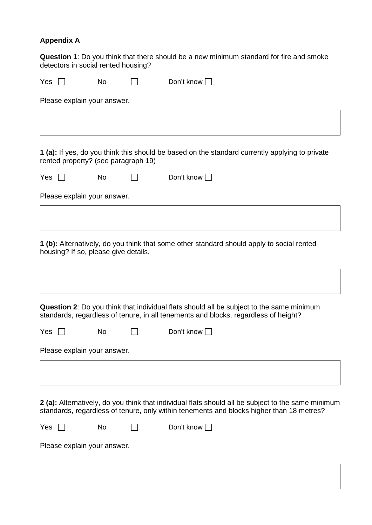# **Appendix A**

**Question 1**: Do you think that there should be a new minimum standard for fire and smoke detectors in social rented housing?

| Yes                         |                                      | No |  | Don't know                                                                                                                                                                                     |  |  |  |  |
|-----------------------------|--------------------------------------|----|--|------------------------------------------------------------------------------------------------------------------------------------------------------------------------------------------------|--|--|--|--|
| Please explain your answer. |                                      |    |  |                                                                                                                                                                                                |  |  |  |  |
|                             |                                      |    |  |                                                                                                                                                                                                |  |  |  |  |
|                             |                                      |    |  |                                                                                                                                                                                                |  |  |  |  |
|                             | rented property? (see paragraph 19)  |    |  | 1 (a): If yes, do you think this should be based on the standard currently applying to private                                                                                                 |  |  |  |  |
| Yes                         |                                      | No |  | Don't know $\Box$                                                                                                                                                                              |  |  |  |  |
|                             | Please explain your answer.          |    |  |                                                                                                                                                                                                |  |  |  |  |
|                             |                                      |    |  |                                                                                                                                                                                                |  |  |  |  |
|                             | housing? If so, please give details. |    |  | 1 (b): Alternatively, do you think that some other standard should apply to social rented                                                                                                      |  |  |  |  |
|                             |                                      |    |  |                                                                                                                                                                                                |  |  |  |  |
|                             |                                      |    |  | <b>Question 2:</b> Do you think that individual flats should all be subject to the same minimum<br>standards, regardless of tenure, in all tenements and blocks, regardless of height?         |  |  |  |  |
| Yes                         |                                      | No |  | Don't know $\square$                                                                                                                                                                           |  |  |  |  |
|                             | Please explain your answer.          |    |  |                                                                                                                                                                                                |  |  |  |  |
|                             |                                      |    |  |                                                                                                                                                                                                |  |  |  |  |
|                             |                                      |    |  | 2 (a): Alternatively, do you think that individual flats should all be subject to the same minimum<br>standards, regardless of tenure, only within tenements and blocks higher than 18 metres? |  |  |  |  |
| Yes                         |                                      | No |  | Don't know $\Box$                                                                                                                                                                              |  |  |  |  |
|                             | Please explain your answer.          |    |  |                                                                                                                                                                                                |  |  |  |  |
|                             |                                      |    |  |                                                                                                                                                                                                |  |  |  |  |
|                             |                                      |    |  |                                                                                                                                                                                                |  |  |  |  |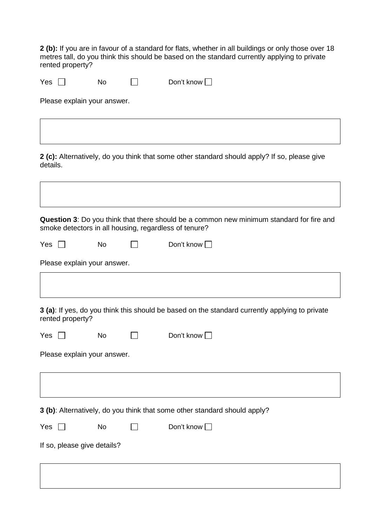**2 (b):** If you are in favour of a standard for flats, whether in all buildings or only those over 18 metres tall, do you think this should be based on the standard currently applying to private rented property?

| Yes<br>No<br>$\cdots$ | Don't know $\square$ |
|-----------------------|----------------------|
|-----------------------|----------------------|

Please explain your answer.

**2 (c):** Alternatively, do you think that some other standard should apply? If so, please give details.

**Question 3**: Do you think that there should be a common new minimum standard for fire and smoke detectors in all housing, regardless of tenure?  $Yes \n\begin{array}{ccc}\n\square & No \\
\square & \square & Do\end{array}$  Don't know  $\square$ Please explain your answer. **3 (a)**: If yes, do you think this should be based on the standard currently applying to private rented property? Yes No Don't know Please explain your answer. **3 (b)**: Alternatively, do you think that some other standard should apply?  $Yes \n\begin{array}{ccc}\n\square & No & \square & Don't know \n\end{array}$ If so, please give details?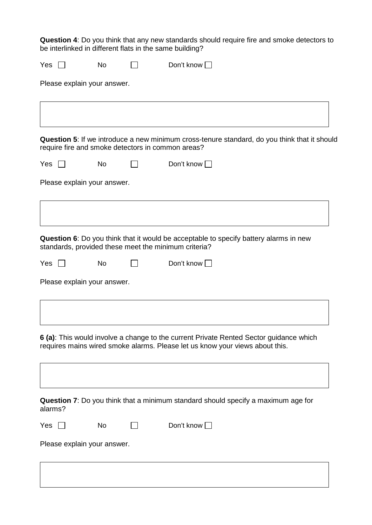**Question 4**: Do you think that any new standards should require fire and smoke detectors to be interlinked in different flats in the same building?

| Yes          | <b>No</b>                   | Don't know $\Box$                                                                                                                                                      |  |
|--------------|-----------------------------|------------------------------------------------------------------------------------------------------------------------------------------------------------------------|--|
|              | Please explain your answer. |                                                                                                                                                                        |  |
|              |                             |                                                                                                                                                                        |  |
|              |                             | Question 5: If we introduce a new minimum cross-tenure standard, do you think that it should<br>require fire and smoke detectors in common areas?                      |  |
| Yes          | No                          | Don't know                                                                                                                                                             |  |
|              | Please explain your answer. |                                                                                                                                                                        |  |
|              |                             |                                                                                                                                                                        |  |
|              |                             | Question 6: Do you think that it would be acceptable to specify battery alarms in new<br>standards, provided these meet the minimum criteria?                          |  |
| Yes          | No                          | Don't know $\square$                                                                                                                                                   |  |
|              | Please explain your answer. |                                                                                                                                                                        |  |
|              |                             |                                                                                                                                                                        |  |
|              |                             | 6 (a): This would involve a change to the current Private Rented Sector guidance which<br>requires mains wired smoke alarms. Please let us know your views about this. |  |
| alarms?      |                             | Question 7: Do you think that a minimum standard should specify a maximum age for                                                                                      |  |
| Yes $\,\Box$ | No                          | Don't know D                                                                                                                                                           |  |
|              | Please explain your answer. |                                                                                                                                                                        |  |
|              |                             |                                                                                                                                                                        |  |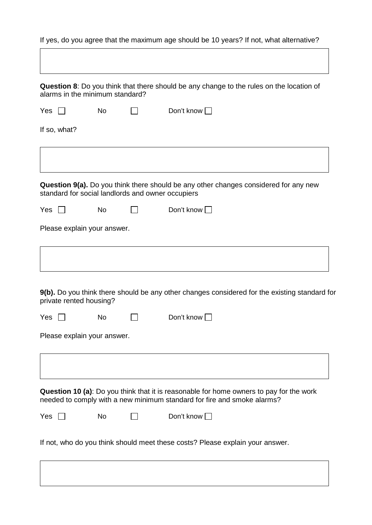If yes, do you agree that the maximum age should be 10 years? If not, what alternative? **Question 8**: Do you think that there should be any change to the rules on the location of alarms in the minimum standard?  $Yes \n\Box$  No  $\Box$  Don't know  $\Box$ If so, what? **Question 9(a).** Do you think there should be any other changes considered for any new standard for social landlords and owner occupiers  $Yes \n\begin{array}{ccc}\n\square & No \\
\square & \square & Do\end{array}$  Don't know Please explain your answer. **9(b).** Do you think there should be any other changes considered for the existing standard for private rented housing?  $Yes \n\Box$  No  $\Box$  Don't know  $\Box$ Please explain your answer. **Question 10 (a)**: Do you think that it is reasonable for home owners to pay for the work needed to comply with a new minimum standard for fire and smoke alarms?  $Yes \n\Box$  No  $\Box$  Don't know  $\Box$ If not, who do you think should meet these costs? Please explain your answer.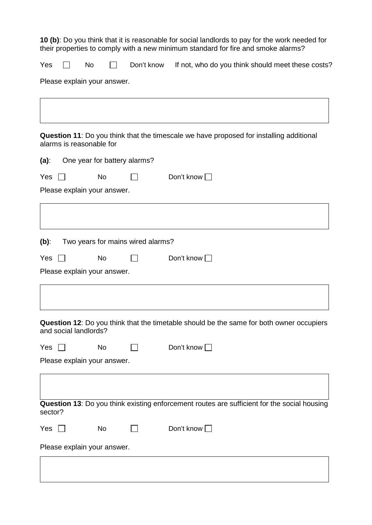**10 (b)**: Do you think that it is reasonable for social landlords to pay for the work needed for their properties to comply with a new minimum standard for fire and smoke alarms?

| Yes |  | <b>No</b> |  |  |  | Don't know If not, who do you think should meet these costs? |
|-----|--|-----------|--|--|--|--------------------------------------------------------------|
|-----|--|-----------|--|--|--|--------------------------------------------------------------|

Please explain your answer.

**Question 11**: Do you think that the timescale we have proposed for installing additional alarms is reasonable for **(a)**: One year for battery alarms?  $Yes \n\begin{array}{ccc}\n\bigcap & No \\
\bigcap & \bigcap & Don't know\n\end{array}$ Please explain your answer. **(b)**: Two years for mains wired alarms? Yes No Don't know Please explain your answer. **Question 12**: Do you think that the timetable should be the same for both owner occupiers and social landlords?  $Yes \n\begin{array}{ccc}\n\square & No \\
\square & \square & Don't know \n\end{array}$ Please explain your answer. **Question 13**: Do you think existing enforcement routes are sufficient for the social housing sector?  $Yes \n\begin{array}{ccc}\n\square & No \\
\square & \square\n\end{array}$  Don't know Please explain your answer.